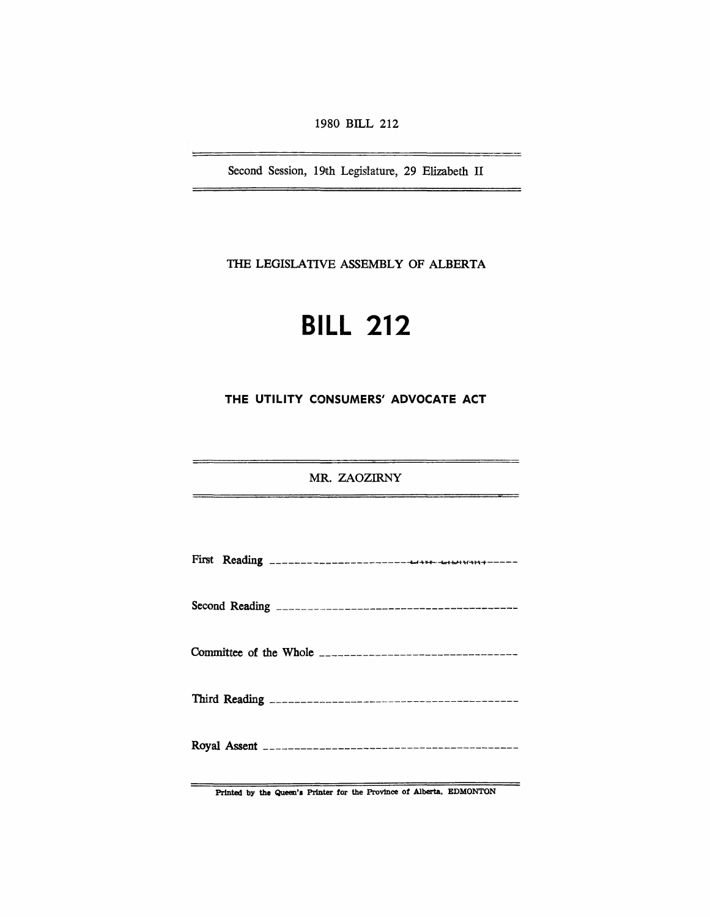1980 BILL 212

Second Session, 19th Legislature, 29 Elizabeth II

THE LEGISLATIVE ASSEMBLY OF ALBERTA

# **BILL** 212

THE UTILITY CONSUMERS' ADVOCATE ACT

MR. ZAOZIRNY

Printed by the Queen's Printer for the Province of Alberta, EDMONTON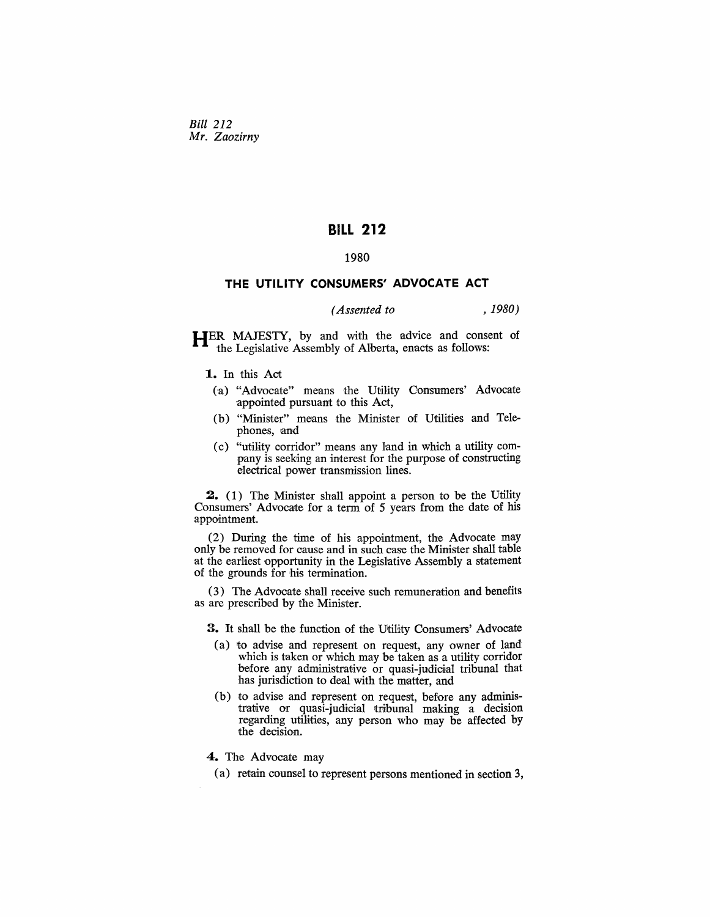*Bill 212 Mr. Zaozirny* 

# **BILL 212**

#### 1980

## **THE UTILITY CONSUMERS' ADVOCATE ACT**

## *(Assented to* , *1980)*

HER MAJESTY, by and with the advice and consent of the Legislative Assembly of Alberta, enacts as follows:

**1.** In this Act

- (a) "Advocate" means the Utility Consumers' Advocate 'appointed pursuant to this Act,
- (b) "Minister" means the Minister of Utilities and Telephones, and
- (c) "utility oorridor" means any land in which a utility company is seeking an interest for the purpose of constructing electrical power transmission lines.

2. (1) The Minister shall appoint a person to be the Utility Consumers' Advocate for a term of 5 years from the date of his appointment.

(2) During the time of his appointment, the Advocate may only be removed for cause and in such case the Minister shall table at the earliest opportunity in the Legislative Assembly a statement of the grounds for his termination.

(3) The Advocate shall receive such remuneration and benefits as are prescribed by the Minister.

3. It shall be the function of the Utility Oonsumers' Advocate

- (a) to advise and represent on request, any owner of land which is taken or which may be taken as a utility corridor before any administrative or quasi-judicial tribunal that has jurisdiction to deal with the matter, and
- (b) to advise and represent on request, before any administrative or quasi-judicial tribunal making a decision regarding utilities, any person who may be affected by the decision.

4. The Advocate may

(a) retain counsel to represent persons mentioned in section 3,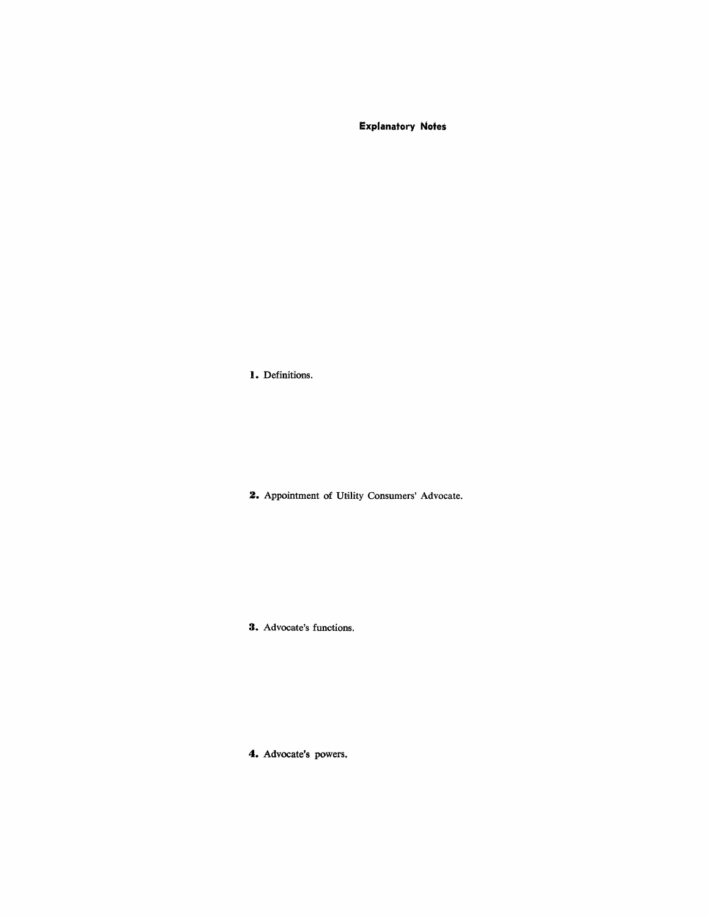**Explanatory Notes** 

**I.** Definitions.

**2.** Appointment of Utility Consumers' Advocate.

**3.** Advocate's functions.

**4.** Advocate's powers,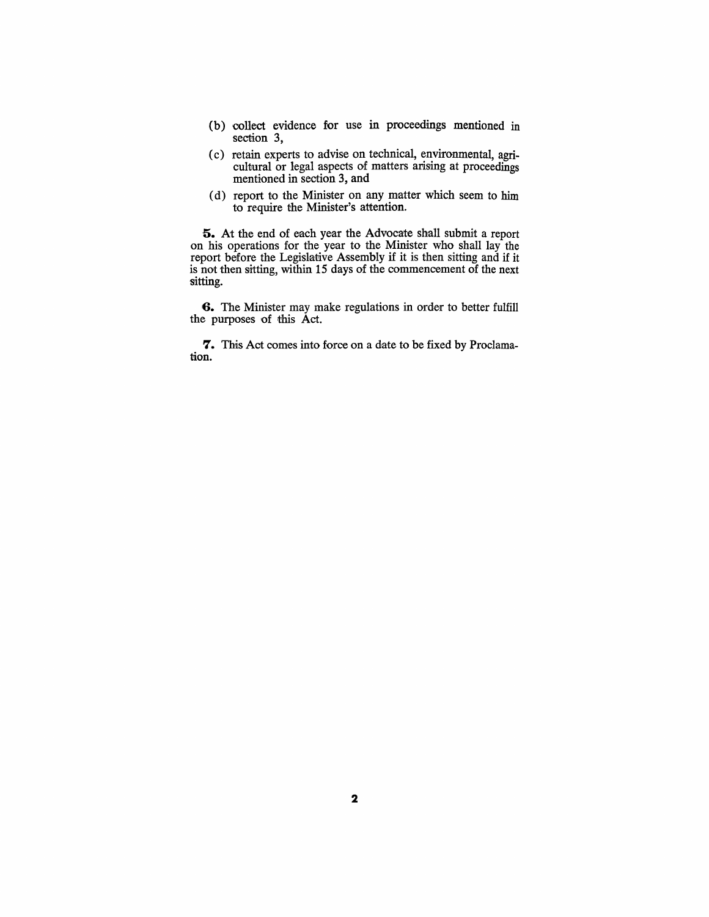- (b) oollect evidence for use in proceedings mentioned in section 3,
- (c) retain experts to advise on technical, environmental, agricultural or legal aspects of matters arising at proceedings mentioned in section 3, and
- (d) report to the Minister on any matter which seem to him to' require the Minister's attention.

**5.** At the end of each year the Advocate shall submit a report on his operations for the year to the Minister who shall lay the report before the Legislative Assembly if it is then sitting and if it is not then sitting, within 15 days of the commencement of the next sitting.

**6.** The Minister may make regulations in order to better fulfill the purposes of this Act.

7. This Act comes into force on a date to be fixed by Proclamation.